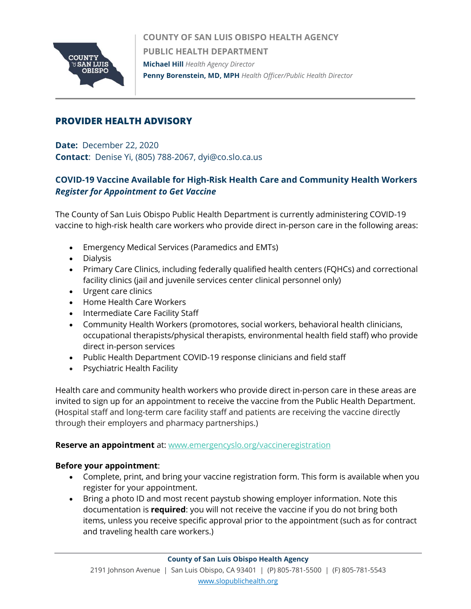

**COUNTY OF SAN LUIS OBISPO HEALTH AGENCY PUBLIC HEALTH DEPARTMENT Michael Hill** *Health Agency Director*  **Penny Borenstein, MD, MPH** *Health Officer/Public Health Director*

# **PROVIDER HEALTH ADVISORY**

**Date:** December 22, 2020 **Contact**: Denise Yi, (805) 788-2067, dyi@co.slo.ca.us

# **COVID-19 Vaccine Available for High-Risk Health Care and Community Health Workers** *Register for Appointment to Get Vaccine*

The County of San Luis Obispo Public Health Department is currently administering COVID-19 vaccine to high-risk health care workers who provide direct in-person care in the following areas:

- Emergency Medical Services (Paramedics and EMTs)
- Dialysis
- Primary Care Clinics, including federally qualified health centers (FQHCs) and correctional facility clinics (jail and juvenile services center clinical personnel only)
- Urgent care clinics
- Home Health Care Workers
- Intermediate Care Facility Staff
- Community Health Workers (promotores, social workers, behavioral health clinicians, occupational therapists/physical therapists, environmental health field staff) who provide direct in-person services
- Public Health Department COVID-19 response clinicians and field staff
- Psychiatric Health Facility

Health care and community health workers who provide direct in-person care in these areas are invited to sign up for an appointment to receive the vaccine from the Public Health Department. (Hospital staff and long-term care facility staff and patients are receiving the vaccine directly through their employers and pharmacy partnerships.)

#### **Reserve an appointment** at: [www.emergencyslo.org/vaccineregistration](http://www.emergencyslo.org/vaccineregistration)

### **Before your appointment**:

- Complete, print, and bring your vaccine registration form. This form is available when you register for your appointment.
- Bring a photo ID and most recent paystub showing employer information. Note this documentation is **required**: you will not receive the vaccine if you do not bring both items, unless you receive specific approval prior to the appointment (such as for contract and traveling health care workers.)